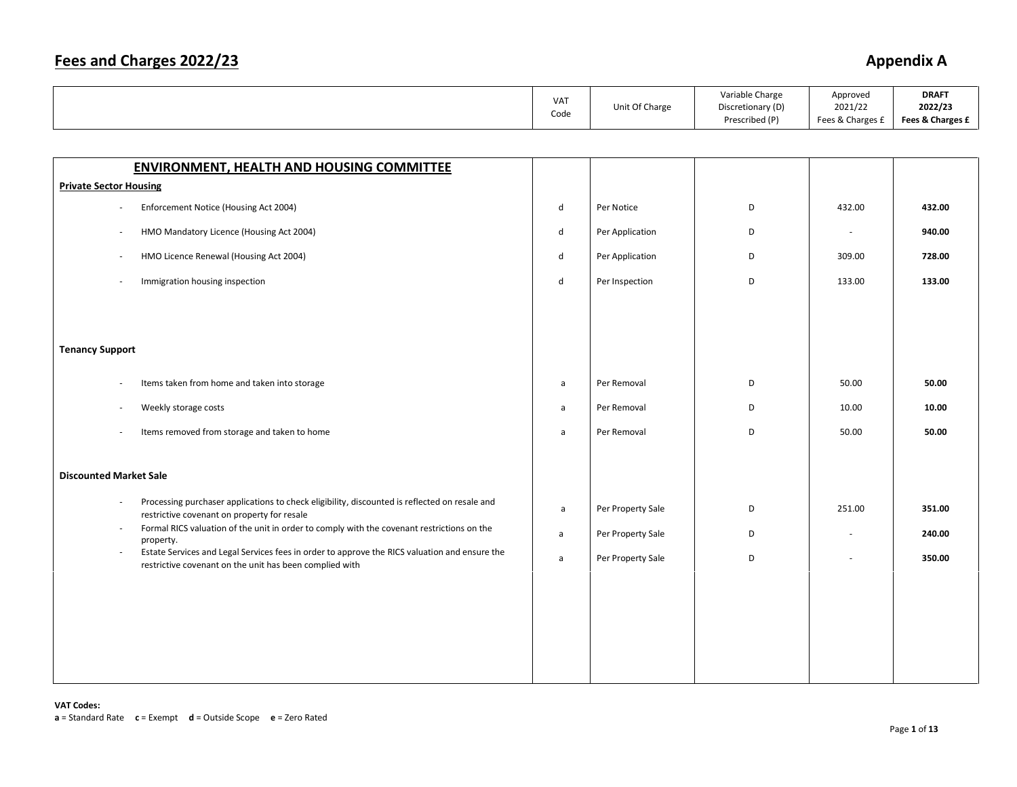|                                                                                                                                                               | VAT<br>Code  | Unit Of Charge    | Variable Charge<br>Discretionary (D)<br>Prescribed (P) | Approved<br>2021/22<br>Fees & Charges £ | <b>DRAFT</b><br>2022/23<br>Fees & Charges £ |
|---------------------------------------------------------------------------------------------------------------------------------------------------------------|--------------|-------------------|--------------------------------------------------------|-----------------------------------------|---------------------------------------------|
|                                                                                                                                                               |              |                   |                                                        |                                         |                                             |
| <b>ENVIRONMENT, HEALTH AND HOUSING COMMITTEE</b>                                                                                                              |              |                   |                                                        |                                         |                                             |
| <b>Private Sector Housing</b>                                                                                                                                 |              |                   |                                                        |                                         |                                             |
| Enforcement Notice (Housing Act 2004)                                                                                                                         | d            | Per Notice        | D                                                      | 432.00                                  | 432.00                                      |
| HMO Mandatory Licence (Housing Act 2004)                                                                                                                      | d            | Per Application   | D                                                      | $\sim$                                  | 940.00                                      |
| HMO Licence Renewal (Housing Act 2004)                                                                                                                        | $\sf d$      | Per Application   | D                                                      | 309.00                                  | 728.00                                      |
| Immigration housing inspection                                                                                                                                | $\mathsf{d}$ | Per Inspection    | D                                                      | 133.00                                  | 133.00                                      |
|                                                                                                                                                               |              |                   |                                                        |                                         |                                             |
|                                                                                                                                                               |              |                   |                                                        |                                         |                                             |
| <b>Tenancy Support</b>                                                                                                                                        |              |                   |                                                        |                                         |                                             |
| Items taken from home and taken into storage                                                                                                                  | a            | Per Removal       | D                                                      | 50.00                                   | 50.00                                       |
| Weekly storage costs                                                                                                                                          | a            | Per Removal       | D                                                      | 10.00                                   | 10.00                                       |
| Items removed from storage and taken to home                                                                                                                  | a            | Per Removal       | D                                                      | 50.00                                   | 50.00                                       |
|                                                                                                                                                               |              |                   |                                                        |                                         |                                             |
| <b>Discounted Market Sale</b>                                                                                                                                 |              |                   |                                                        |                                         |                                             |
| Processing purchaser applications to check eligibility, discounted is reflected on resale and<br>restrictive covenant on property for resale                  | $\mathsf{a}$ | Per Property Sale | D                                                      | 251.00                                  | 351.00                                      |
| Formal RICS valuation of the unit in order to comply with the covenant restrictions on the<br>$\overline{\phantom{a}}$<br>property.                           | a            | Per Property Sale | D                                                      | $\sim$                                  | 240.00                                      |
| Estate Services and Legal Services fees in order to approve the RICS valuation and ensure the<br>÷<br>restrictive covenant on the unit has been complied with | $\mathsf{a}$ | Per Property Sale | D                                                      | ÷.                                      | 350.00                                      |
|                                                                                                                                                               |              |                   |                                                        |                                         |                                             |
|                                                                                                                                                               |              |                   |                                                        |                                         |                                             |
|                                                                                                                                                               |              |                   |                                                        |                                         |                                             |
|                                                                                                                                                               |              |                   |                                                        |                                         |                                             |
|                                                                                                                                                               |              |                   |                                                        |                                         |                                             |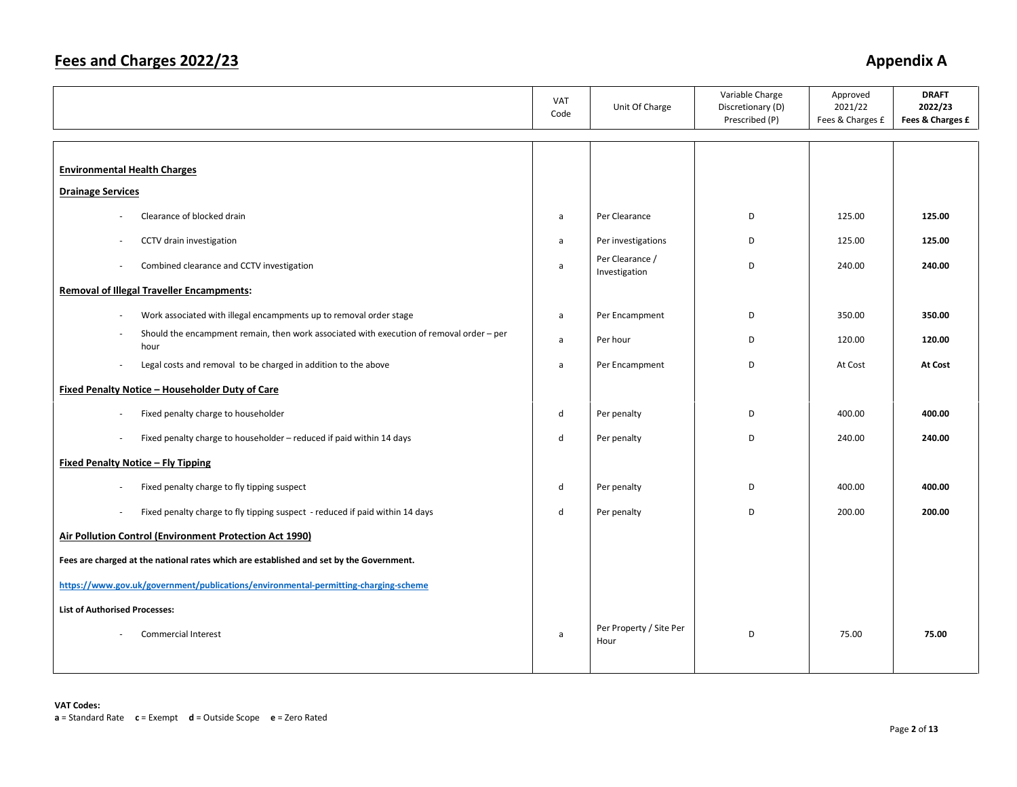|                                                                                                  | <b>VAT</b><br>Code | Unit Of Charge                   | Variable Charge<br>Discretionary (D)<br>Prescribed (P) | Approved<br>2021/22<br>Fees & Charges £ | <b>DRAFT</b><br>2022/23<br>Fees & Charges £ |
|--------------------------------------------------------------------------------------------------|--------------------|----------------------------------|--------------------------------------------------------|-----------------------------------------|---------------------------------------------|
| <b>Environmental Health Charges</b>                                                              |                    |                                  |                                                        |                                         |                                             |
| <b>Drainage Services</b>                                                                         |                    |                                  |                                                        |                                         |                                             |
| Clearance of blocked drain                                                                       | a                  | Per Clearance                    | D                                                      | 125.00                                  | 125.00                                      |
| CCTV drain investigation                                                                         | a                  | Per investigations               | D                                                      | 125.00                                  | 125.00                                      |
| Combined clearance and CCTV investigation<br>$\overline{\phantom{a}}$                            | $\mathsf{a}$       | Per Clearance /<br>Investigation | D                                                      | 240.00                                  | 240.00                                      |
| <b>Removal of Illegal Traveller Encampments:</b>                                                 |                    |                                  |                                                        |                                         |                                             |
| Work associated with illegal encampments up to removal order stage                               | $\mathsf{a}$       | Per Encampment                   | D                                                      | 350.00                                  | 350.00                                      |
| Should the encampment remain, then work associated with execution of removal order - per<br>hour | a                  | Per hour                         | D                                                      | 120.00                                  | 120.00                                      |
| Legal costs and removal to be charged in addition to the above<br>÷.                             | a                  | Per Encampment                   | D                                                      | At Cost                                 | At Cost                                     |
| Fixed Penalty Notice - Householder Duty of Care                                                  |                    |                                  |                                                        |                                         |                                             |
| Fixed penalty charge to householder                                                              | $\sf d$            | Per penalty                      | D                                                      | 400.00                                  | 400.00                                      |
| Fixed penalty charge to householder - reduced if paid within 14 days                             | d                  | Per penalty                      | D                                                      | 240.00                                  | 240.00                                      |
| Fixed Penalty Notice - Fly Tipping                                                               |                    |                                  |                                                        |                                         |                                             |
| Fixed penalty charge to fly tipping suspect                                                      | d                  | Per penalty                      | D                                                      | 400.00                                  | 400.00                                      |
| Fixed penalty charge to fly tipping suspect - reduced if paid within 14 days<br>$\sim$           | d                  | Per penalty                      | D                                                      | 200.00                                  | 200.00                                      |
| Air Pollution Control (Environment Protection Act 1990)                                          |                    |                                  |                                                        |                                         |                                             |
| Fees are charged at the national rates which are established and set by the Government.          |                    |                                  |                                                        |                                         |                                             |
| https://www.gov.uk/government/publications/environmental-permitting-charging-scheme              |                    |                                  |                                                        |                                         |                                             |
| <b>List of Authorised Processes:</b>                                                             |                    |                                  |                                                        |                                         |                                             |
| <b>Commercial Interest</b>                                                                       | a                  | Per Property / Site Per<br>Hour  | D                                                      | 75.00                                   | 75.00                                       |
|                                                                                                  |                    |                                  |                                                        |                                         |                                             |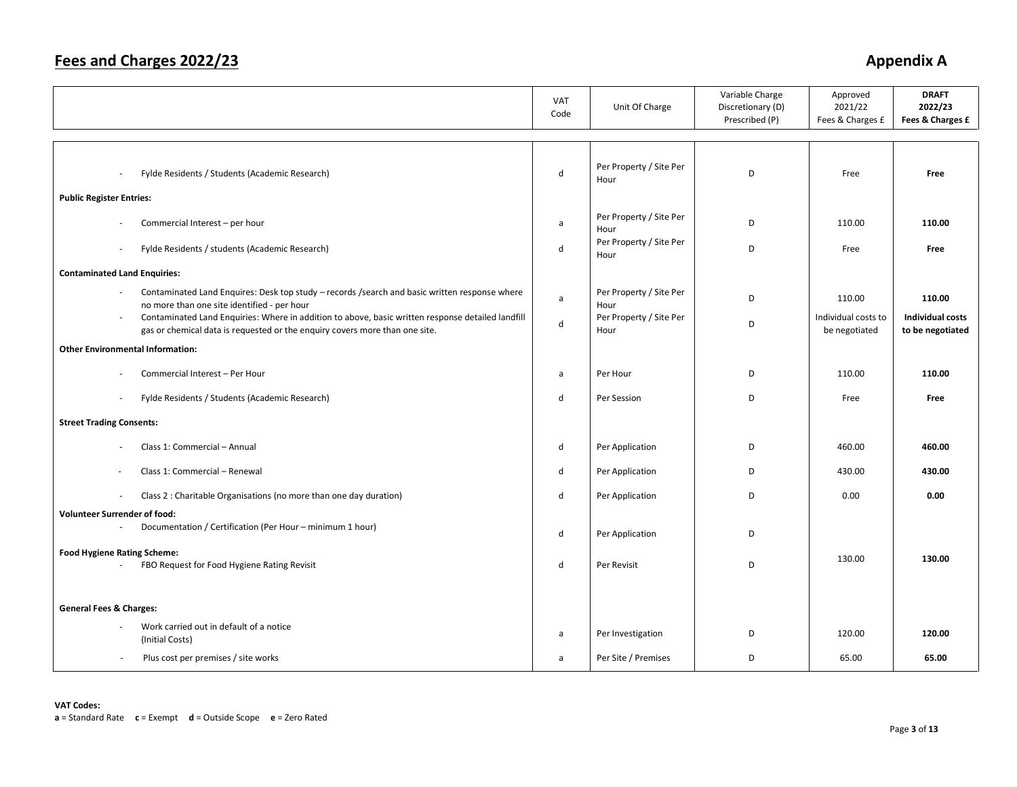|                                                                                                                                                                                            | VAT<br>Code | Unit Of Charge                  | Variable Charge<br>Discretionary (D)<br>Prescribed (P) | Approved<br>2021/22<br>Fees & Charges £ | <b>DRAFT</b><br>2022/23<br>Fees & Charges £ |
|--------------------------------------------------------------------------------------------------------------------------------------------------------------------------------------------|-------------|---------------------------------|--------------------------------------------------------|-----------------------------------------|---------------------------------------------|
|                                                                                                                                                                                            |             |                                 |                                                        |                                         |                                             |
| Fylde Residents / Students (Academic Research)<br>$\sim$                                                                                                                                   | d           | Per Property / Site Per<br>Hour | D                                                      | Free                                    | Free                                        |
| <b>Public Register Entries:</b>                                                                                                                                                            |             |                                 |                                                        |                                         |                                             |
| Commercial Interest - per hour                                                                                                                                                             | a           | Per Property / Site Per<br>Hour | D                                                      | 110.00                                  | 110.00                                      |
| Fylde Residents / students (Academic Research)<br>$\overline{\phantom{a}}$                                                                                                                 | d           | Per Property / Site Per<br>Hour | D                                                      | Free                                    | Free                                        |
| <b>Contaminated Land Enquiries:</b>                                                                                                                                                        |             |                                 |                                                        |                                         |                                             |
| Contaminated Land Enquires: Desk top study - records /search and basic written response where<br>no more than one site identified - per hour                                               | a           | Per Property / Site Per<br>Hour | D                                                      | 110.00                                  | 110.00                                      |
| Contaminated Land Enquiries: Where in addition to above, basic written response detailed landfill<br>$\sim$<br>gas or chemical data is requested or the enquiry covers more than one site. | d           | Per Property / Site Per<br>Hour | D                                                      | Individual costs to<br>be negotiated    | <b>Individual costs</b><br>to be negotiated |
| <b>Other Environmental Information:</b>                                                                                                                                                    |             |                                 |                                                        |                                         |                                             |
|                                                                                                                                                                                            |             |                                 |                                                        |                                         |                                             |
| Commercial Interest - Per Hour                                                                                                                                                             | a           | Per Hour                        | D                                                      | 110.00                                  | 110.00                                      |
| Fylde Residents / Students (Academic Research)<br>$\sim$                                                                                                                                   | d           | Per Session                     | D                                                      | Free                                    | Free                                        |
| <b>Street Trading Consents:</b>                                                                                                                                                            |             |                                 |                                                        |                                         |                                             |
|                                                                                                                                                                                            |             |                                 |                                                        |                                         |                                             |
| Class 1: Commercial - Annual                                                                                                                                                               | d           | Per Application                 | D                                                      | 460.00                                  | 460.00                                      |
| Class 1: Commercial - Renewal                                                                                                                                                              | d           | Per Application                 | D                                                      | 430.00                                  | 430.00                                      |
| Class 2 : Charitable Organisations (no more than one day duration)<br>÷.                                                                                                                   | d           | Per Application                 | D                                                      | 0.00                                    | 0.00                                        |
| <b>Volunteer Surrender of food:</b>                                                                                                                                                        |             |                                 |                                                        |                                         |                                             |
| Documentation / Certification (Per Hour - minimum 1 hour)                                                                                                                                  | d           | Per Application                 | D                                                      |                                         |                                             |
| <b>Food Hygiene Rating Scheme:</b>                                                                                                                                                         |             |                                 |                                                        | 130.00                                  | 130.00                                      |
| FBO Request for Food Hygiene Rating Revisit                                                                                                                                                | d           | Per Revisit                     | D                                                      |                                         |                                             |
|                                                                                                                                                                                            |             |                                 |                                                        |                                         |                                             |
| <b>General Fees &amp; Charges:</b>                                                                                                                                                         |             |                                 |                                                        |                                         |                                             |
| Work carried out in default of a notice<br>(Initial Costs)                                                                                                                                 | a           | Per Investigation               | D                                                      | 120.00                                  | 120.00                                      |
| Plus cost per premises / site works                                                                                                                                                        | a           | Per Site / Premises             | D                                                      | 65.00                                   | 65.00                                       |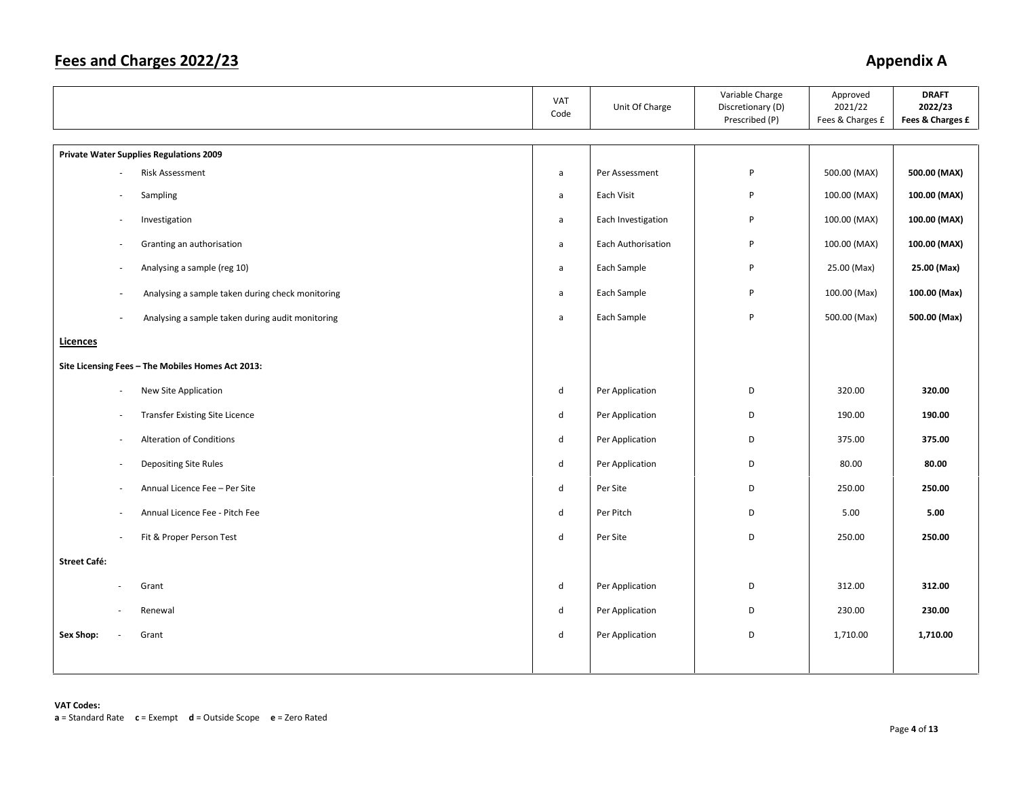|                     |                          |                                                   | VAT<br>Code  | Unit Of Charge     | Variable Charge<br>Discretionary (D)<br>Prescribed (P) | Approved<br>2021/22<br>Fees & Charges £ | <b>DRAFT</b><br>2022/23<br>Fees & Charges £ |
|---------------------|--------------------------|---------------------------------------------------|--------------|--------------------|--------------------------------------------------------|-----------------------------------------|---------------------------------------------|
|                     |                          | <b>Private Water Supplies Regulations 2009</b>    |              |                    |                                                        |                                         |                                             |
|                     |                          | Risk Assessment                                   | $\mathsf{a}$ | Per Assessment     | $\mathsf{P}$                                           | 500.00 (MAX)                            | 500.00 (MAX)                                |
|                     |                          | Sampling                                          | $\mathsf{a}$ | Each Visit         | P                                                      | 100.00 (MAX)                            | 100.00 (MAX)                                |
|                     | ÷.                       | Investigation                                     | a            | Each Investigation | P                                                      | 100.00 (MAX)                            | 100.00 (MAX)                                |
|                     | $\sim$                   | Granting an authorisation                         | $\mathsf{a}$ | Each Authorisation | P                                                      | 100.00 (MAX)                            | 100.00 (MAX)                                |
|                     | ä,                       | Analysing a sample (reg 10)                       | $\mathsf{a}$ | Each Sample        | P                                                      | 25.00 (Max)                             | 25.00 (Max)                                 |
|                     | $\overline{\phantom{a}}$ | Analysing a sample taken during check monitoring  | a            | Each Sample        | P                                                      | 100.00 (Max)                            | 100.00 (Max)                                |
|                     | $\overline{\phantom{a}}$ | Analysing a sample taken during audit monitoring  | $\mathsf{a}$ | Each Sample        | P                                                      | 500.00 (Max)                            | 500.00 (Max)                                |
| <b>Licences</b>     |                          |                                                   |              |                    |                                                        |                                         |                                             |
|                     |                          | Site Licensing Fees - The Mobiles Homes Act 2013: |              |                    |                                                        |                                         |                                             |
|                     | $\sim$                   | New Site Application                              | $\mathsf{d}$ | Per Application    | D                                                      | 320.00                                  | 320.00                                      |
|                     | $\sim$                   | <b>Transfer Existing Site Licence</b>             | $\sf d$      | Per Application    | D                                                      | 190.00                                  | 190.00                                      |
|                     | $\sim$                   | <b>Alteration of Conditions</b>                   | $\sf d$      | Per Application    | D                                                      | 375.00                                  | 375.00                                      |
|                     | $\overline{\phantom{a}}$ | Depositing Site Rules                             | ${\sf d}$    | Per Application    | D                                                      | 80.00                                   | 80.00                                       |
|                     |                          | Annual Licence Fee - Per Site                     | $\mathsf{d}$ | Per Site           | D                                                      | 250.00                                  | 250.00                                      |
|                     | ÷.                       | Annual Licence Fee - Pitch Fee                    | $\mathsf{d}$ | Per Pitch          | D                                                      | 5.00                                    | 5.00                                        |
|                     | ÷.                       | Fit & Proper Person Test                          | d            | Per Site           | D                                                      | 250.00                                  | 250.00                                      |
| <b>Street Café:</b> |                          |                                                   |              |                    |                                                        |                                         |                                             |
|                     |                          | Grant                                             | $\mathsf{d}$ | Per Application    | D                                                      | 312.00                                  | 312.00                                      |
|                     |                          | Renewal                                           | ${\sf d}$    | Per Application    | D                                                      | 230.00                                  | 230.00                                      |
| Sex Shop:           | $\sim$                   | Grant                                             | d            | Per Application    | D                                                      | 1,710.00                                | 1,710.00                                    |
|                     |                          |                                                   |              |                    |                                                        |                                         |                                             |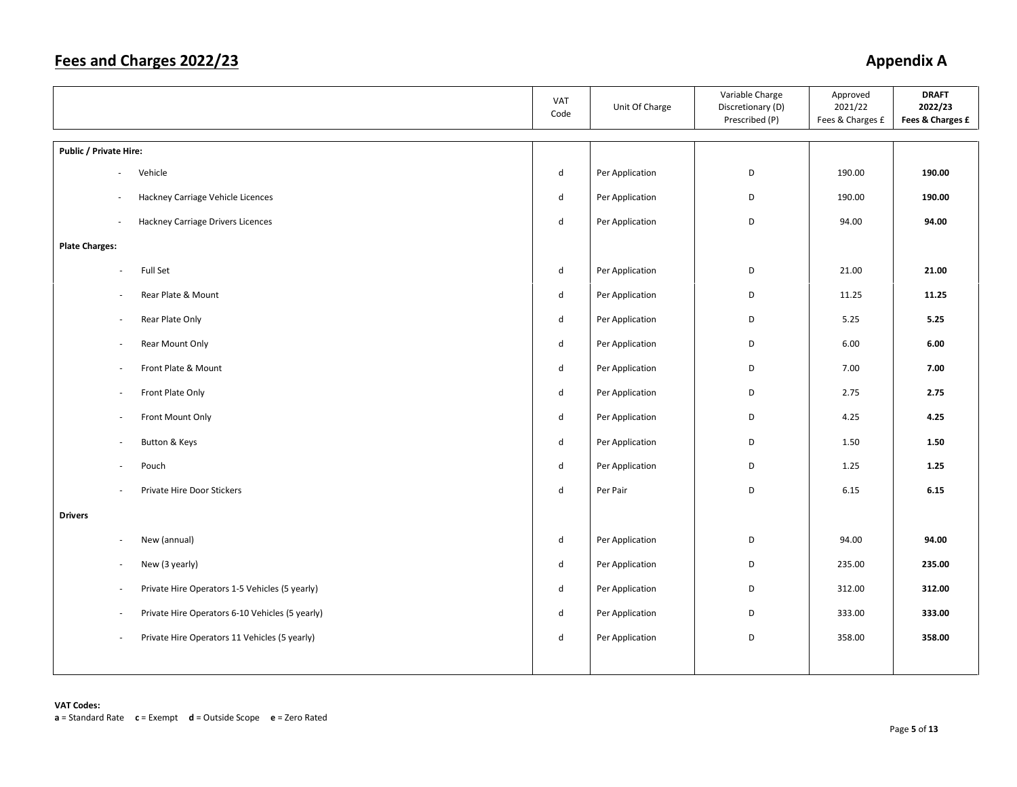|                                                          | VAT<br>Code                 | Unit Of Charge  | Variable Charge<br>Discretionary (D)<br>Prescribed (P) | Approved<br>2021/22<br>Fees & Charges £ | <b>DRAFT</b><br>2022/23<br>Fees & Charges £ |
|----------------------------------------------------------|-----------------------------|-----------------|--------------------------------------------------------|-----------------------------------------|---------------------------------------------|
| Public / Private Hire:                                   |                             |                 |                                                        |                                         |                                             |
| Vehicle<br>$\overline{\phantom{a}}$                      | ${\sf d}$                   | Per Application | D                                                      | 190.00                                  | 190.00                                      |
| Hackney Carriage Vehicle Licences<br>$\sim$              | ${\sf d}$                   | Per Application | $\mathsf D$                                            | 190.00                                  | 190.00                                      |
| <b>Hackney Carriage Drivers Licences</b><br>÷,           | $\mathsf{d}$                | Per Application | D                                                      | 94.00                                   | 94.00                                       |
| <b>Plate Charges:</b>                                    |                             |                 |                                                        |                                         |                                             |
| Full Set<br>$\overline{\phantom{a}}$                     | $\mathsf{d}$                | Per Application | D                                                      | 21.00                                   | 21.00                                       |
| Rear Plate & Mount<br>$\overline{\phantom{a}}$           | d                           | Per Application | D                                                      | 11.25                                   | 11.25                                       |
| Rear Plate Only<br>$\sim$                                | $\sf d$                     | Per Application | D                                                      | 5.25                                    | 5.25                                        |
| Rear Mount Only<br>$\sim$                                | $\sf d$                     | Per Application | D                                                      | 6.00                                    | 6.00                                        |
| Front Plate & Mount<br>$\sim$                            | $\sf d$                     | Per Application | D                                                      | 7.00                                    | 7.00                                        |
| Front Plate Only<br>$\sim$                               | $\sf d$                     | Per Application | D                                                      | 2.75                                    | 2.75                                        |
| Front Mount Only<br>$\overline{\phantom{a}}$             | ${\sf d}$                   | Per Application | D                                                      | 4.25                                    | 4.25                                        |
| Button & Keys                                            | ${\sf d}$                   | Per Application | D                                                      | 1.50                                    | 1.50                                        |
| Pouch                                                    | $\mathsf{d}$                | Per Application | D                                                      | 1.25                                    | 1.25                                        |
| Private Hire Door Stickers<br>$\sim$                     | ${\sf d}$                   | Per Pair        | D                                                      | 6.15                                    | 6.15                                        |
| <b>Drivers</b>                                           |                             |                 |                                                        |                                         |                                             |
| New (annual)<br>$\sim$                                   | ${\sf d}$                   | Per Application | D                                                      | 94.00                                   | 94.00                                       |
| New (3 yearly)<br>$\sim$                                 | ${\sf d}$                   | Per Application | D                                                      | 235.00                                  | 235.00                                      |
| Private Hire Operators 1-5 Vehicles (5 yearly)<br>$\sim$ | ${\sf d}$                   | Per Application | D                                                      | 312.00                                  | 312.00                                      |
| Private Hire Operators 6-10 Vehicles (5 yearly)          | $\operatorname{\mathsf{d}}$ | Per Application | D                                                      | 333.00                                  | 333.00                                      |
| Private Hire Operators 11 Vehicles (5 yearly)            | ${\sf d}$                   | Per Application | $\mathsf D$                                            | 358.00                                  | 358.00                                      |
|                                                          |                             |                 |                                                        |                                         |                                             |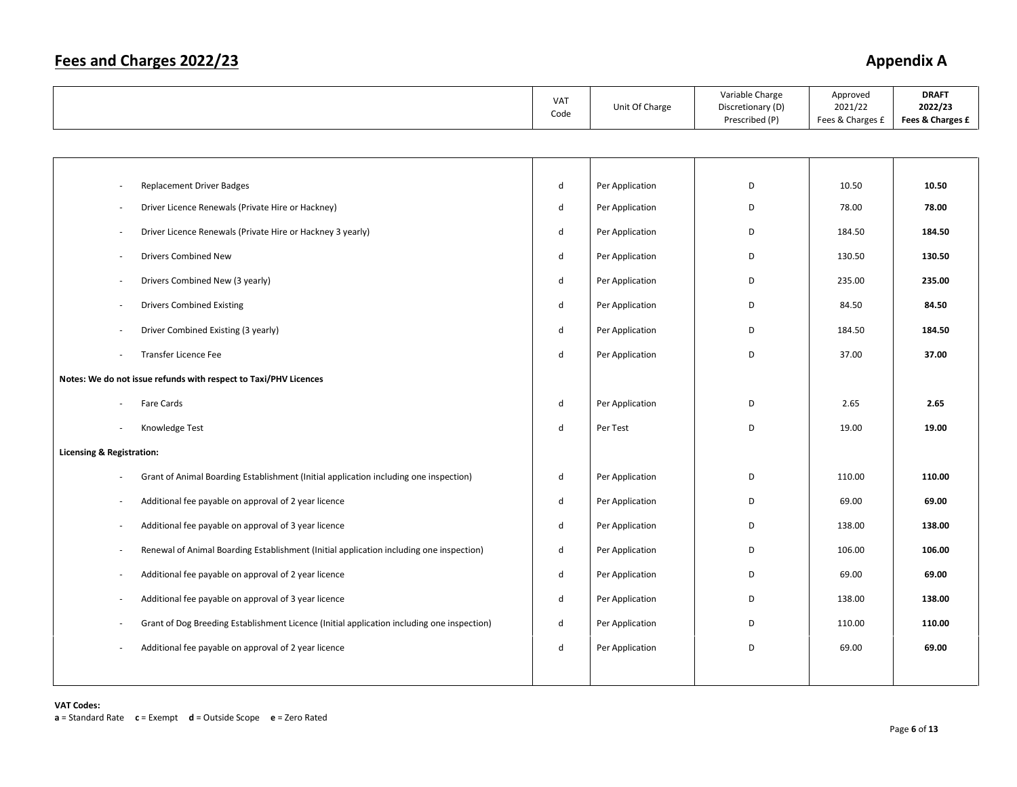|                                                                                            | VAT<br>Code  | Unit Of Charge  | Variable Charge<br>Discretionary (D)<br>Prescribed (P) | Approved<br>2021/22<br>Fees & Charges £ | <b>DRAFT</b><br>2022/23<br>Fees & Charges £ |
|--------------------------------------------------------------------------------------------|--------------|-----------------|--------------------------------------------------------|-----------------------------------------|---------------------------------------------|
|                                                                                            |              |                 |                                                        |                                         |                                             |
|                                                                                            |              |                 |                                                        |                                         |                                             |
| <b>Replacement Driver Badges</b><br>$\sim$                                                 | d            | Per Application | D                                                      | 10.50                                   | 10.50                                       |
| Driver Licence Renewals (Private Hire or Hackney)                                          | $\mathsf{d}$ | Per Application | D                                                      | 78.00                                   | 78.00                                       |
| Driver Licence Renewals (Private Hire or Hackney 3 yearly)<br>$\overline{\phantom{a}}$     | d            | Per Application | D                                                      | 184.50                                  | 184.50                                      |
| <b>Drivers Combined New</b>                                                                | d            | Per Application | D                                                      | 130.50                                  | 130.50                                      |
| Drivers Combined New (3 yearly)                                                            | d            | Per Application | D                                                      | 235.00                                  | 235.00                                      |
| <b>Drivers Combined Existing</b>                                                           | d            | Per Application | D                                                      | 84.50                                   | 84.50                                       |
| Driver Combined Existing (3 yearly)                                                        | d            | Per Application | D                                                      | 184.50                                  | 184.50                                      |
| Transfer Licence Fee<br>×.                                                                 | d            | Per Application | D                                                      | 37.00                                   | 37.00                                       |
| Notes: We do not issue refunds with respect to Taxi/PHV Licences                           |              |                 |                                                        |                                         |                                             |
| Fare Cards                                                                                 | ${\sf d}$    | Per Application | D                                                      | 2.65                                    | 2.65                                        |
| Knowledge Test                                                                             | d            | Per Test        | D                                                      | 19.00                                   | 19.00                                       |
| <b>Licensing &amp; Registration:</b>                                                       |              |                 |                                                        |                                         |                                             |
| Grant of Animal Boarding Establishment (Initial application including one inspection)      | d            | Per Application | D                                                      | 110.00                                  | 110.00                                      |
| Additional fee payable on approval of 2 year licence<br>$\sim$                             | $\mathsf{d}$ | Per Application | D                                                      | 69.00                                   | 69.00                                       |
| Additional fee payable on approval of 3 year licence<br>$\overline{\phantom{a}}$           | $\mathsf{d}$ | Per Application | D                                                      | 138.00                                  | 138.00                                      |
| Renewal of Animal Boarding Establishment (Initial application including one inspection)    | d            | Per Application | D                                                      | 106.00                                  | 106.00                                      |
| Additional fee payable on approval of 2 year licence                                       | ${\sf d}$    | Per Application | D                                                      | 69.00                                   | 69.00                                       |
| Additional fee payable on approval of 3 year licence<br>$\sim$                             | d            | Per Application | D                                                      | 138.00                                  | 138.00                                      |
| Grant of Dog Breeding Establishment Licence (Initial application including one inspection) | $\mathsf{d}$ | Per Application | D                                                      | 110.00                                  | 110.00                                      |
| Additional fee payable on approval of 2 year licence                                       | $\mathsf{d}$ | Per Application | D                                                      | 69.00                                   | 69.00                                       |
|                                                                                            |              |                 |                                                        |                                         |                                             |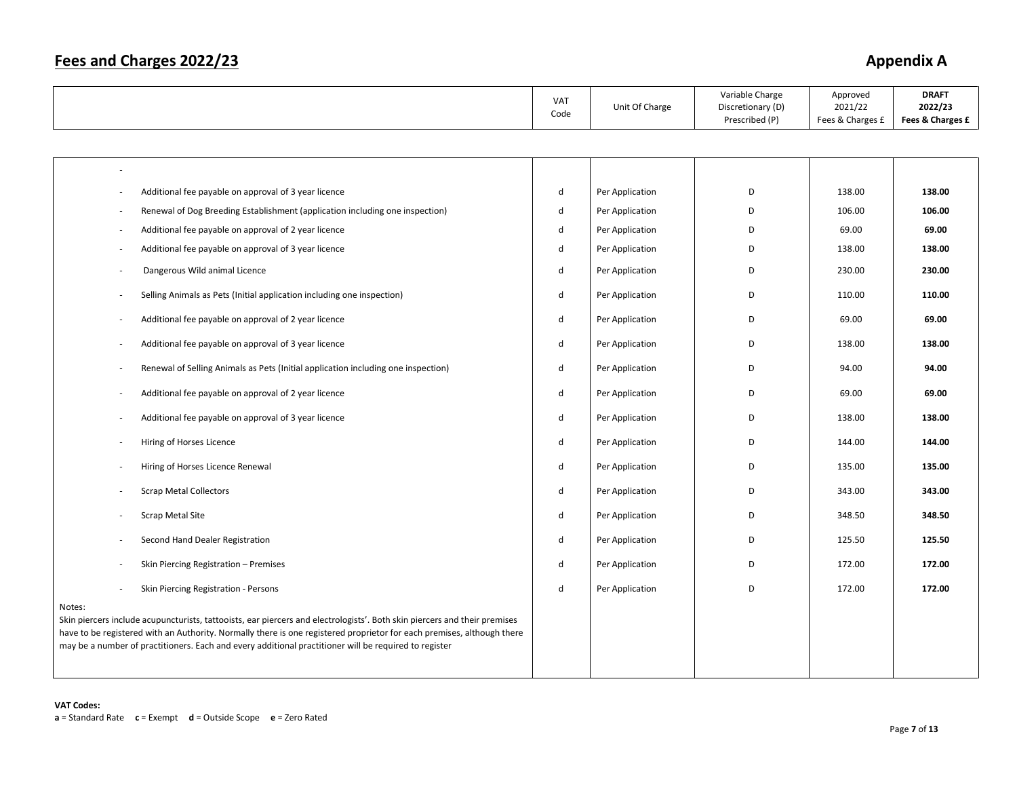|                                                                                                                                                                                                                                                                                                                                                                        | VAT<br>Code | Unit Of Charge  | Variable Charge<br>Discretionary (D)<br>Prescribed (P) | Approved<br>2021/22<br>Fees & Charges £ | <b>DRAFT</b><br>2022/23<br>Fees & Charges £ |
|------------------------------------------------------------------------------------------------------------------------------------------------------------------------------------------------------------------------------------------------------------------------------------------------------------------------------------------------------------------------|-------------|-----------------|--------------------------------------------------------|-----------------------------------------|---------------------------------------------|
|                                                                                                                                                                                                                                                                                                                                                                        |             |                 |                                                        |                                         |                                             |
|                                                                                                                                                                                                                                                                                                                                                                        |             |                 |                                                        |                                         |                                             |
| Additional fee payable on approval of 3 year licence<br>$\overline{\phantom{a}}$                                                                                                                                                                                                                                                                                       | d           | Per Application | D                                                      | 138.00                                  | 138.00                                      |
| Renewal of Dog Breeding Establishment (application including one inspection)<br>$\overline{\phantom{a}}$                                                                                                                                                                                                                                                               | $\sf d$     | Per Application | D                                                      | 106.00                                  | 106.00                                      |
| Additional fee payable on approval of 2 year licence<br>$\overline{\phantom{a}}$                                                                                                                                                                                                                                                                                       | d           | Per Application | D                                                      | 69.00                                   | 69.00                                       |
| Additional fee payable on approval of 3 year licence                                                                                                                                                                                                                                                                                                                   | d           | Per Application | D                                                      | 138.00                                  | 138.00                                      |
| Dangerous Wild animal Licence                                                                                                                                                                                                                                                                                                                                          | d           | Per Application | D                                                      | 230.00                                  | 230.00                                      |
| Selling Animals as Pets (Initial application including one inspection)                                                                                                                                                                                                                                                                                                 | $\sf d$     | Per Application | D                                                      | 110.00                                  | 110.00                                      |
| Additional fee payable on approval of 2 year licence                                                                                                                                                                                                                                                                                                                   | d           | Per Application | D                                                      | 69.00                                   | 69.00                                       |
| Additional fee payable on approval of 3 year licence<br>÷.                                                                                                                                                                                                                                                                                                             | d           | Per Application | D                                                      | 138.00                                  | 138.00                                      |
| Renewal of Selling Animals as Pets (Initial application including one inspection)<br>$\overline{\phantom{a}}$                                                                                                                                                                                                                                                          | $\sf d$     | Per Application | D                                                      | 94.00                                   | 94.00                                       |
| Additional fee payable on approval of 2 year licence                                                                                                                                                                                                                                                                                                                   | $\sf d$     | Per Application | D                                                      | 69.00                                   | 69.00                                       |
| Additional fee payable on approval of 3 year licence                                                                                                                                                                                                                                                                                                                   | d           | Per Application | D                                                      | 138.00                                  | 138.00                                      |
| Hiring of Horses Licence                                                                                                                                                                                                                                                                                                                                               | d           | Per Application | D                                                      | 144.00                                  | 144.00                                      |
| Hiring of Horses Licence Renewal                                                                                                                                                                                                                                                                                                                                       | d           | Per Application | D                                                      | 135.00                                  | 135.00                                      |
| <b>Scrap Metal Collectors</b>                                                                                                                                                                                                                                                                                                                                          | $\sf d$     | Per Application | D                                                      | 343.00                                  | 343.00                                      |
| <b>Scrap Metal Site</b>                                                                                                                                                                                                                                                                                                                                                | $\sf d$     | Per Application | D                                                      | 348.50                                  | 348.50                                      |
| Second Hand Dealer Registration                                                                                                                                                                                                                                                                                                                                        | d           | Per Application | D                                                      | 125.50                                  | 125.50                                      |
| Skin Piercing Registration - Premises                                                                                                                                                                                                                                                                                                                                  | $\sf d$     | Per Application | D                                                      | 172.00                                  | 172.00                                      |
| Skin Piercing Registration - Persons                                                                                                                                                                                                                                                                                                                                   | $\sf d$     | Per Application | D                                                      | 172.00                                  | 172.00                                      |
| Notes:<br>Skin piercers include acupuncturists, tattooists, ear piercers and electrologists'. Both skin piercers and their premises<br>have to be registered with an Authority. Normally there is one registered proprietor for each premises, although there<br>may be a number of practitioners. Each and every additional practitioner will be required to register |             |                 |                                                        |                                         |                                             |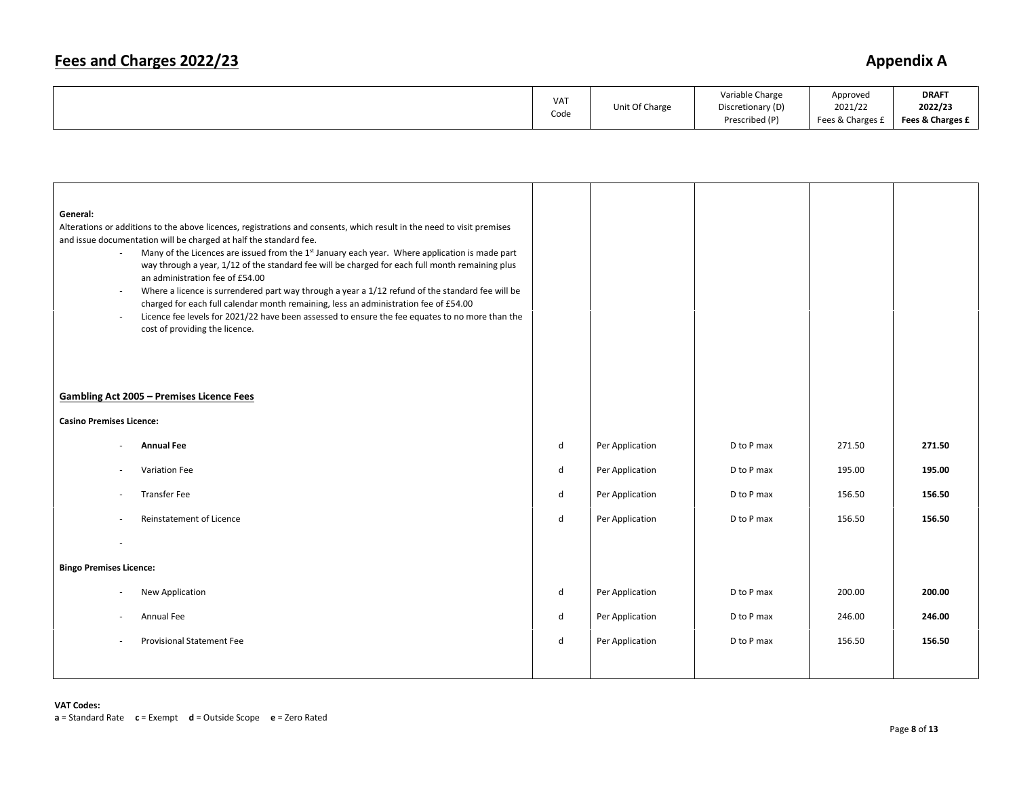## **Fees and Charges 2022/23** Appendix A

| VA <sub>1</sub><br>Code | Unit Of Charge | Variable Charge<br>Discretionary (D)<br>Prescribed (P) | Approved<br>2021/22<br>Fees & Charges 1 | <b>DRAFT</b><br>2022/23<br>Fees & Charges £ |
|-------------------------|----------------|--------------------------------------------------------|-----------------------------------------|---------------------------------------------|
|-------------------------|----------------|--------------------------------------------------------|-----------------------------------------|---------------------------------------------|

| General:<br>$\sim$<br>$\overline{\phantom{a}}$<br>$\sim$ | Alterations or additions to the above licences, registrations and consents, which result in the need to visit premises<br>and issue documentation will be charged at half the standard fee.<br>Many of the Licences are issued from the 1st January each year. Where application is made part<br>way through a year, 1/12 of the standard fee will be charged for each full month remaining plus<br>an administration fee of £54.00<br>Where a licence is surrendered part way through a year a 1/12 refund of the standard fee will be<br>charged for each full calendar month remaining, less an administration fee of £54.00<br>Licence fee levels for 2021/22 have been assessed to ensure the fee equates to no more than the<br>cost of providing the licence.<br><b>Gambling Act 2005 - Premises Licence Fees</b> |         |                 |            |        |        |
|----------------------------------------------------------|--------------------------------------------------------------------------------------------------------------------------------------------------------------------------------------------------------------------------------------------------------------------------------------------------------------------------------------------------------------------------------------------------------------------------------------------------------------------------------------------------------------------------------------------------------------------------------------------------------------------------------------------------------------------------------------------------------------------------------------------------------------------------------------------------------------------------|---------|-----------------|------------|--------|--------|
| <b>Casino Premises Licence:</b>                          |                                                                                                                                                                                                                                                                                                                                                                                                                                                                                                                                                                                                                                                                                                                                                                                                                          |         |                 |            |        |        |
|                                                          |                                                                                                                                                                                                                                                                                                                                                                                                                                                                                                                                                                                                                                                                                                                                                                                                                          |         |                 |            |        |        |
|                                                          | <b>Annual Fee</b>                                                                                                                                                                                                                                                                                                                                                                                                                                                                                                                                                                                                                                                                                                                                                                                                        | d       | Per Application | D to P max | 271.50 | 271.50 |
| $\sim$                                                   | Variation Fee                                                                                                                                                                                                                                                                                                                                                                                                                                                                                                                                                                                                                                                                                                                                                                                                            | $\sf d$ | Per Application | D to P max | 195.00 | 195.00 |
| $\sim$                                                   | <b>Transfer Fee</b>                                                                                                                                                                                                                                                                                                                                                                                                                                                                                                                                                                                                                                                                                                                                                                                                      | d       | Per Application | D to P max | 156.50 | 156.50 |
| $\sim$                                                   | Reinstatement of Licence                                                                                                                                                                                                                                                                                                                                                                                                                                                                                                                                                                                                                                                                                                                                                                                                 | d       | Per Application | D to P max | 156.50 | 156.50 |
|                                                          |                                                                                                                                                                                                                                                                                                                                                                                                                                                                                                                                                                                                                                                                                                                                                                                                                          |         |                 |            |        |        |
| <b>Bingo Premises Licence:</b>                           |                                                                                                                                                                                                                                                                                                                                                                                                                                                                                                                                                                                                                                                                                                                                                                                                                          |         |                 |            |        |        |
|                                                          | New Application                                                                                                                                                                                                                                                                                                                                                                                                                                                                                                                                                                                                                                                                                                                                                                                                          | d       | Per Application | D to P max | 200.00 | 200.00 |
|                                                          | Annual Fee                                                                                                                                                                                                                                                                                                                                                                                                                                                                                                                                                                                                                                                                                                                                                                                                               | d       | Per Application | D to P max | 246.00 | 246.00 |
| $\sim$                                                   | <b>Provisional Statement Fee</b>                                                                                                                                                                                                                                                                                                                                                                                                                                                                                                                                                                                                                                                                                                                                                                                         | d       | Per Application | D to P max | 156.50 | 156.50 |
|                                                          |                                                                                                                                                                                                                                                                                                                                                                                                                                                                                                                                                                                                                                                                                                                                                                                                                          |         |                 |            |        |        |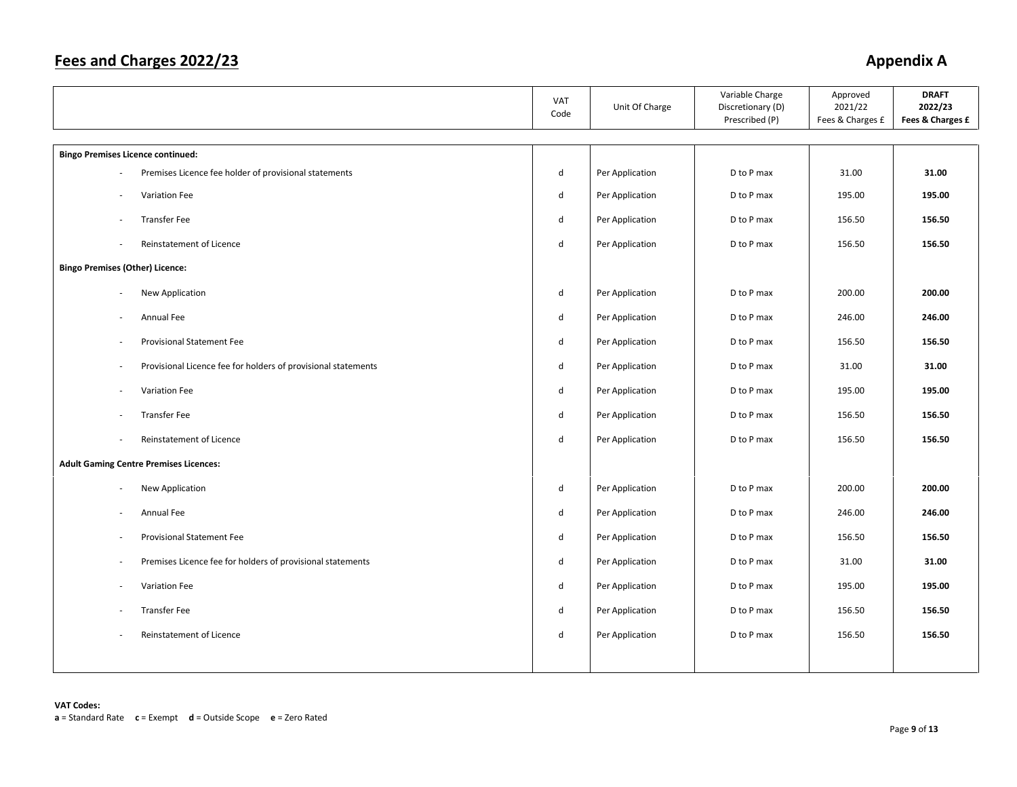|                                                                         | VAT<br>Code  | Unit Of Charge  | Variable Charge<br>Discretionary (D)<br>Prescribed (P) | Approved<br>2021/22<br>Fees & Charges £ | <b>DRAFT</b><br>2022/23<br>Fees & Charges £ |
|-------------------------------------------------------------------------|--------------|-----------------|--------------------------------------------------------|-----------------------------------------|---------------------------------------------|
| <b>Bingo Premises Licence continued:</b>                                |              |                 |                                                        |                                         |                                             |
| Premises Licence fee holder of provisional statements                   | d            | Per Application | D to P max                                             | 31.00                                   | 31.00                                       |
| Variation Fee<br>ä,                                                     | d            | Per Application | D to P max                                             | 195.00                                  | 195.00                                      |
| <b>Transfer Fee</b><br>$\overline{\phantom{a}}$                         | d            | Per Application | D to P max                                             | 156.50                                  | 156.50                                      |
| Reinstatement of Licence<br>٠                                           | $\mathsf{d}$ | Per Application | D to P max                                             | 156.50                                  | 156.50                                      |
| <b>Bingo Premises (Other) Licence:</b>                                  |              |                 |                                                        |                                         |                                             |
| New Application<br>$\sim$                                               | d            | Per Application | D to P max                                             | 200.00                                  | 200.00                                      |
| Annual Fee<br>×,                                                        | d            | Per Application | D to P max                                             | 246.00                                  | 246.00                                      |
| Provisional Statement Fee<br>$\overline{a}$                             | d            | Per Application | D to P max                                             | 156.50                                  | 156.50                                      |
| Provisional Licence fee for holders of provisional statements<br>$\sim$ | d            | Per Application | D to P max                                             | 31.00                                   | 31.00                                       |
| Variation Fee<br>$\overline{\phantom{a}}$                               | d            | Per Application | D to P max                                             | 195.00                                  | 195.00                                      |
| <b>Transfer Fee</b><br>ä,                                               | d            | Per Application | D to P max                                             | 156.50                                  | 156.50                                      |
| Reinstatement of Licence<br>٠                                           | d            | Per Application | D to P max                                             | 156.50                                  | 156.50                                      |
| <b>Adult Gaming Centre Premises Licences:</b>                           |              |                 |                                                        |                                         |                                             |
| New Application                                                         | d            | Per Application | D to P max                                             | 200.00                                  | 200.00                                      |
| Annual Fee<br>$\sim$                                                    | d            | Per Application | D to P max                                             | 246.00                                  | 246.00                                      |
| Provisional Statement Fee<br>×,                                         | d            | Per Application | D to P max                                             | 156.50                                  | 156.50                                      |
| Premises Licence fee for holders of provisional statements<br>$\sim$    | d            | Per Application | D to P max                                             | 31.00                                   | 31.00                                       |
| Variation Fee<br>÷,                                                     | d            | Per Application | D to P max                                             | 195.00                                  | 195.00                                      |
| <b>Transfer Fee</b>                                                     | d            | Per Application | D to P max                                             | 156.50                                  | 156.50                                      |
| Reinstatement of Licence                                                | d            | Per Application | D to P max                                             | 156.50                                  | 156.50                                      |
|                                                                         |              |                 |                                                        |                                         |                                             |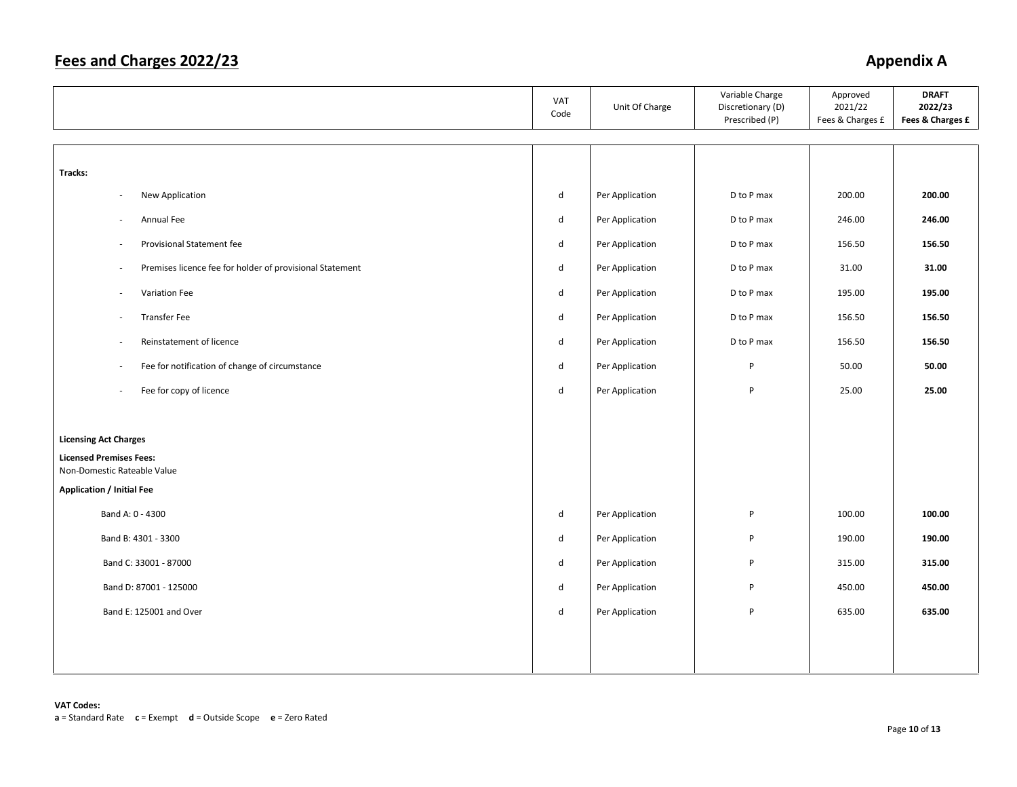|                                                                            | VAT<br>Code  | Unit Of Charge  | Variable Charge<br>Discretionary (D)<br>Prescribed (P) | Approved<br>2021/22<br>Fees & Charges £ | <b>DRAFT</b><br>2022/23<br>Fees & Charges £ |
|----------------------------------------------------------------------------|--------------|-----------------|--------------------------------------------------------|-----------------------------------------|---------------------------------------------|
|                                                                            |              |                 |                                                        |                                         |                                             |
| Tracks:                                                                    |              |                 |                                                        |                                         |                                             |
| New Application<br>$\overline{\phantom{a}}$                                | ${\sf d}$    | Per Application | D to P max                                             | 200.00                                  | 200.00                                      |
| Annual Fee<br>$\overline{\phantom{a}}$                                     | d            | Per Application | D to P max                                             | 246.00                                  | 246.00                                      |
| Provisional Statement fee<br>$\overline{\phantom{a}}$                      | ${\sf d}$    | Per Application | D to P max                                             | 156.50                                  | 156.50                                      |
| Premises licence fee for holder of provisional Statement<br>×.             | $\mathsf{d}$ | Per Application | D to P max                                             | 31.00                                   | 31.00                                       |
| Variation Fee<br>$\overline{\phantom{a}}$                                  | ${\sf d}$    | Per Application | D to P max                                             | 195.00                                  | 195.00                                      |
| <b>Transfer Fee</b><br>$\overline{\phantom{a}}$                            | ${\sf d}$    | Per Application | D to P max                                             | 156.50                                  | 156.50                                      |
| Reinstatement of licence<br>×.                                             | $\sf d$      | Per Application | D to P max                                             | 156.50                                  | 156.50                                      |
| Fee for notification of change of circumstance<br>$\overline{\phantom{a}}$ | $\mathsf{d}$ | Per Application | P                                                      | 50.00                                   | 50.00                                       |
| Fee for copy of licence<br>$\overline{\phantom{a}}$                        | $\mathsf{d}$ | Per Application | P                                                      | 25.00                                   | 25.00                                       |
|                                                                            |              |                 |                                                        |                                         |                                             |
| <b>Licensing Act Charges</b>                                               |              |                 |                                                        |                                         |                                             |
| <b>Licensed Premises Fees:</b><br>Non-Domestic Rateable Value              |              |                 |                                                        |                                         |                                             |
| <b>Application / Initial Fee</b>                                           |              |                 |                                                        |                                         |                                             |
| Band A: 0 - 4300                                                           | $\sf d$      | Per Application | P                                                      | 100.00                                  | 100.00                                      |
| Band B: 4301 - 3300                                                        | $\sf d$      | Per Application | P                                                      | 190.00                                  | 190.00                                      |
| Band C: 33001 - 87000                                                      | $\mathsf{d}$ | Per Application | P                                                      | 315.00                                  | 315.00                                      |
| Band D: 87001 - 125000                                                     | $\mathsf{d}$ | Per Application | P                                                      | 450.00                                  | 450.00                                      |
| Band E: 125001 and Over                                                    | ${\sf d}$    | Per Application | P                                                      | 635.00                                  | 635.00                                      |
|                                                                            |              |                 |                                                        |                                         |                                             |
|                                                                            |              |                 |                                                        |                                         |                                             |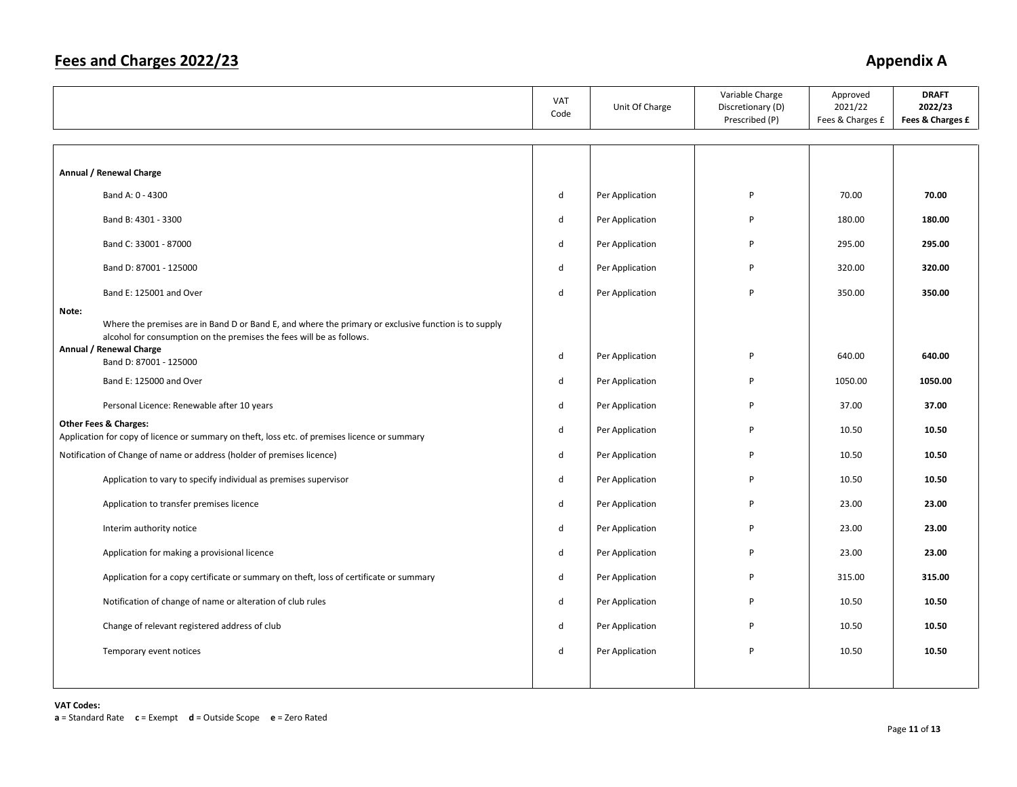|                                                                                                                                                                                       | <b>VAT</b><br>Code | Unit Of Charge  | Variable Charge<br>Discretionary (D)<br>Prescribed (P) | Approved<br>2021/22<br>Fees & Charges £ | <b>DRAFT</b><br>2022/23<br>Fees & Charges £ |
|---------------------------------------------------------------------------------------------------------------------------------------------------------------------------------------|--------------------|-----------------|--------------------------------------------------------|-----------------------------------------|---------------------------------------------|
|                                                                                                                                                                                       |                    |                 |                                                        |                                         |                                             |
| Annual / Renewal Charge                                                                                                                                                               |                    |                 |                                                        |                                         |                                             |
| Band A: 0 - 4300                                                                                                                                                                      | $\sf d$            | Per Application | $\sf P$                                                | 70.00                                   | 70.00                                       |
| Band B: 4301 - 3300                                                                                                                                                                   | $\mathsf{d}$       | Per Application | P                                                      | 180.00                                  | 180.00                                      |
| Band C: 33001 - 87000                                                                                                                                                                 | $\sf d$            | Per Application | P                                                      | 295.00                                  | 295.00                                      |
| Band D: 87001 - 125000                                                                                                                                                                | $\mathsf{d}$       | Per Application | P                                                      | 320.00                                  | 320.00                                      |
| Band E: 125001 and Over                                                                                                                                                               | d                  | Per Application | P                                                      | 350.00                                  | 350.00                                      |
| Note:<br>Where the premises are in Band D or Band E, and where the primary or exclusive function is to supply<br>alcohol for consumption on the premises the fees will be as follows. |                    |                 |                                                        |                                         |                                             |
| Annual / Renewal Charge<br>Band D: 87001 - 125000                                                                                                                                     | d                  | Per Application | P                                                      | 640.00                                  | 640.00                                      |
| Band E: 125000 and Over                                                                                                                                                               | $\mathsf{d}$       | Per Application | P                                                      | 1050.00                                 | 1050.00                                     |
| Personal Licence: Renewable after 10 years                                                                                                                                            | d                  | Per Application | P                                                      | 37.00                                   | 37.00                                       |
| <b>Other Fees &amp; Charges:</b><br>Application for copy of licence or summary on theft, loss etc. of premises licence or summary                                                     | $\mathsf{d}$       | Per Application | P                                                      | 10.50                                   | 10.50                                       |
| Notification of Change of name or address (holder of premises licence)                                                                                                                | d                  | Per Application | P                                                      | 10.50                                   | 10.50                                       |
| Application to vary to specify individual as premises supervisor                                                                                                                      | d                  | Per Application | P                                                      | 10.50                                   | 10.50                                       |
| Application to transfer premises licence                                                                                                                                              | d                  | Per Application | P                                                      | 23.00                                   | 23.00                                       |
| Interim authority notice                                                                                                                                                              | d                  | Per Application | P                                                      | 23.00                                   | 23.00                                       |
| Application for making a provisional licence                                                                                                                                          | d                  | Per Application | P                                                      | 23.00                                   | 23.00                                       |
| Application for a copy certificate or summary on theft, loss of certificate or summary                                                                                                | d                  | Per Application | P                                                      | 315.00                                  | 315.00                                      |
| Notification of change of name or alteration of club rules                                                                                                                            | d                  | Per Application | P                                                      | 10.50                                   | 10.50                                       |
| Change of relevant registered address of club                                                                                                                                         | d                  | Per Application | P                                                      | 10.50                                   | 10.50                                       |
| Temporary event notices                                                                                                                                                               | d                  | Per Application | P                                                      | 10.50                                   | 10.50                                       |
|                                                                                                                                                                                       |                    |                 |                                                        |                                         |                                             |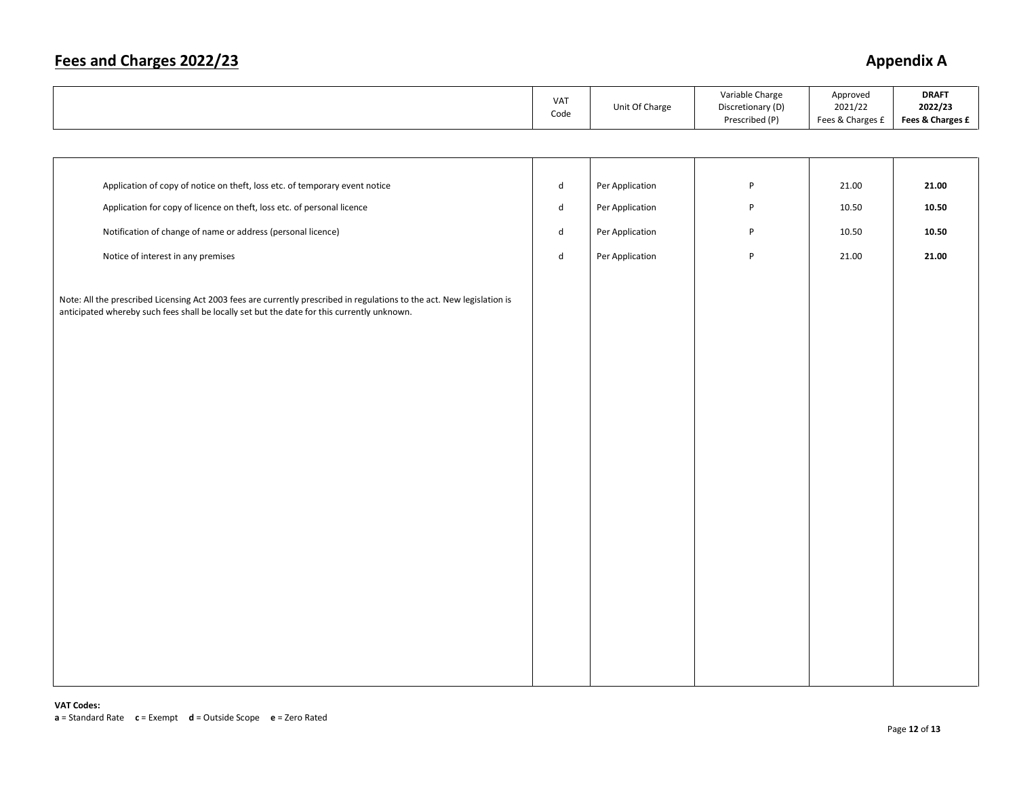## **Fees and Charges 2022/23** Appendix A

|                                                                                                                                                                                                                        | VAT<br>Code | Unit Of Charge  | Variable Charge<br>Discretionary (D)<br>Prescribed (P) | Approved<br>2021/22<br>Fees & Charges £ | <b>DRAFT</b><br>2022/23<br>Fees & Charges £ |
|------------------------------------------------------------------------------------------------------------------------------------------------------------------------------------------------------------------------|-------------|-----------------|--------------------------------------------------------|-----------------------------------------|---------------------------------------------|
|                                                                                                                                                                                                                        |             |                 |                                                        |                                         |                                             |
|                                                                                                                                                                                                                        |             |                 |                                                        |                                         |                                             |
| Application of copy of notice on theft, loss etc. of temporary event notice                                                                                                                                            | $\sf d$     | Per Application | P                                                      | 21.00                                   | 21.00                                       |
| Application for copy of licence on theft, loss etc. of personal licence                                                                                                                                                | $\sf d$     | Per Application | P                                                      | 10.50                                   | 10.50                                       |
| Notification of change of name or address (personal licence)                                                                                                                                                           | $\sf d$     | Per Application | P                                                      | 10.50                                   | 10.50                                       |
| Notice of interest in any premises                                                                                                                                                                                     | ${\sf d}$   | Per Application | P                                                      | 21.00                                   | 21.00                                       |
| Note: All the prescribed Licensing Act 2003 fees are currently prescribed in regulations to the act. New legislation is<br>anticipated whereby such fees shall be locally set but the date for this currently unknown. |             |                 |                                                        |                                         |                                             |